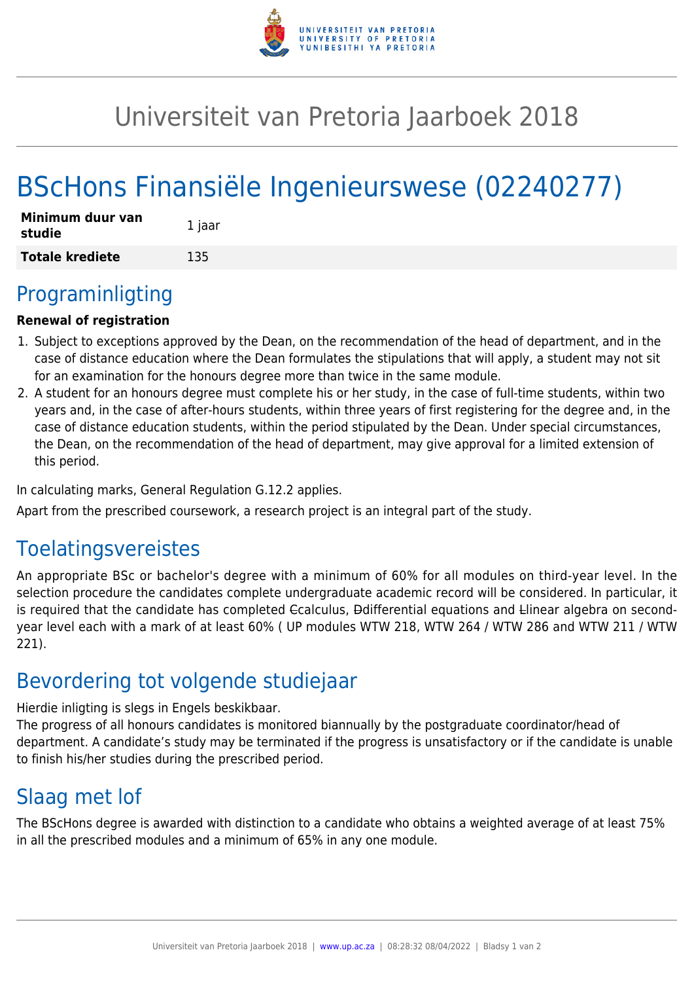

## Universiteit van Pretoria Jaarboek 2018

# BScHons Finansiële Ingenieurswese (02240277)

| Minimum duur van<br>studie | 1 jaar |
|----------------------------|--------|
| <b>Totale krediete</b>     | 135    |

### Programinligting

#### **Renewal of registration**

- 1. Subject to exceptions approved by the Dean, on the recommendation of the head of department, and in the case of distance education where the Dean formulates the stipulations that will apply, a student may not sit for an examination for the honours degree more than twice in the same module.
- 2. A student for an honours degree must complete his or her study, in the case of full-time students, within two years and, in the case of after-hours students, within three years of first registering for the degree and, in the case of distance education students, within the period stipulated by the Dean. Under special circumstances, the Dean, on the recommendation of the head of department, may give approval for a limited extension of this period.

In calculating marks, General Regulation G.12.2 applies.

Apart from the prescribed coursework, a research project is an integral part of the study.

### Toelatingsvereistes

An appropriate BSc or bachelor's degree with a minimum of 60% for all modules on third-year level. In the selection procedure the candidates complete undergraduate academic record will be considered. In particular, it is required that the candidate has completed Ccalculus, Ddifferential equations and Llinear algebra on secondyear level each with a mark of at least 60% ( UP modules WTW 218, WTW 264 / WTW 286 and WTW 211 / WTW 221).

### Bevordering tot volgende studiejaar

Hierdie inligting is slegs in Engels beskikbaar.

The progress of all honours candidates is monitored biannually by the postgraduate coordinator/head of department. A candidate's study may be terminated if the progress is unsatisfactory or if the candidate is unable to finish his/her studies during the prescribed period.

### Slaag met lof

The BScHons degree is awarded with distinction to a candidate who obtains a weighted average of at least 75% in all the prescribed modules and a minimum of 65% in any one module.